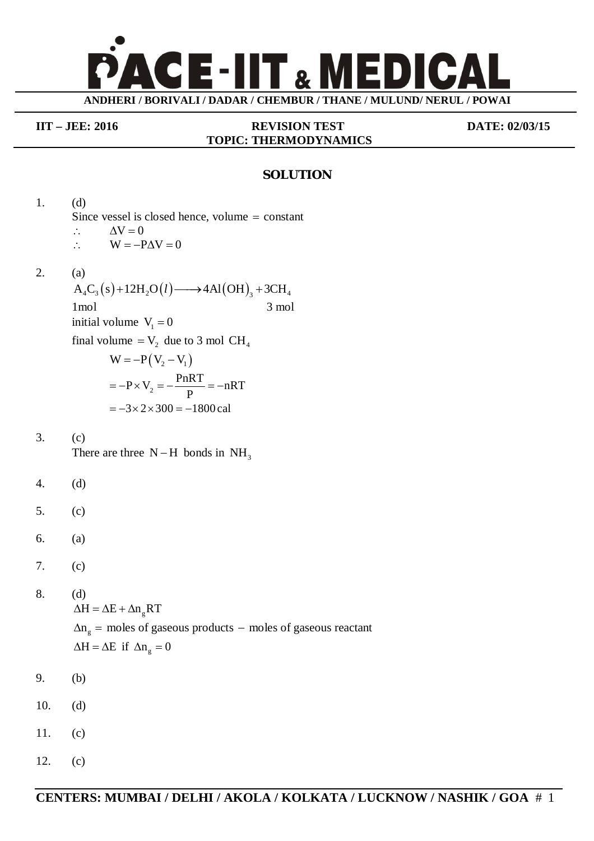

## **TOPIC: THERMODYNAMICS**

**IIT – JEE: 2016 REVISION TEST DATE: 02/03/15**

## **SOLUTION**

1. (d) Since vessel is closed hence, volume  $=$  constant  $\therefore \Delta V = 0$  $\therefore$  W = -P $\Delta V = 0$ 2. (a)  $A_4C_3(s)+12H_2O(l) \longrightarrow 4Al(OH)_3+3CH_4$ 1 mol 3 mol initial volume  $V_1 = 0$ final volume  $= V_2$  due to 3 mol CH<sub>4</sub>  $W = -P(V_2 - V_1)$  $P \times V_2 = -\frac{PnRT}{R} = -nRT$ P  $=-P \times V_2 = -\frac{P}{R} = -n$  $= -3 \times 2 \times 300 = -1800$  cal 3. (c) There are three  $N-H$  bonds in  $NH<sub>3</sub>$ 4. (d) 5. (c) 6. (a) 7. (c) 8. (d)  $\Delta H = \Delta E + \Delta n_e RT$  $\Delta n_{\rm g}$  = moles of gaseous products – moles of gaseous reactant  $\Delta H = \Delta E$  if  $\Delta n_g = 0$ 9. (b) 10. (d) 11. (c) 12. (c)